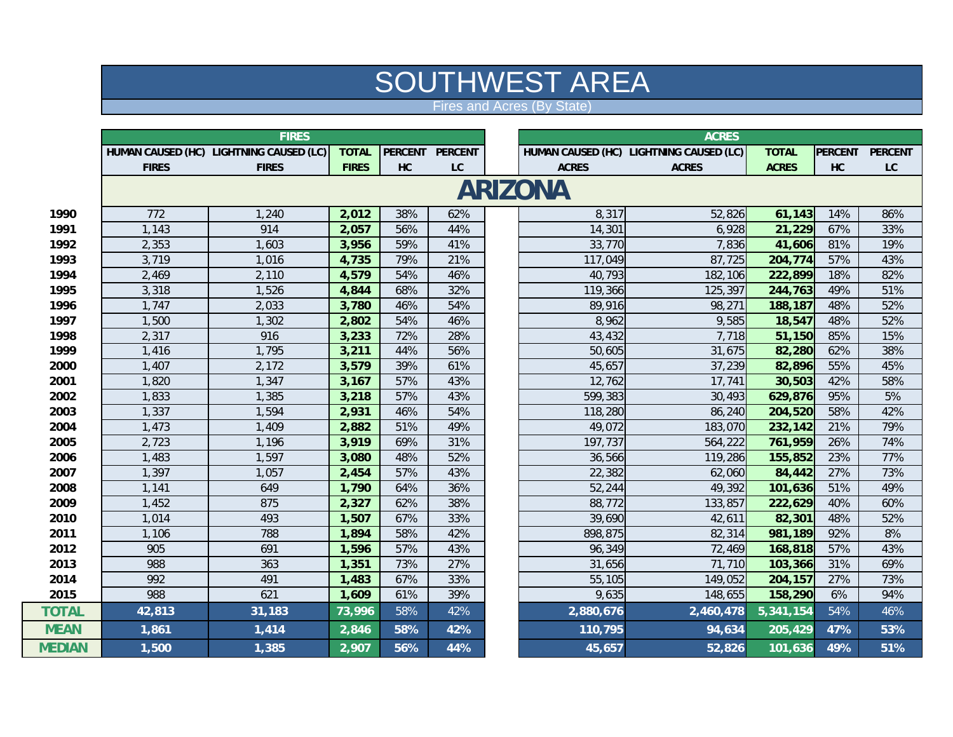## SOUTHWEST ARE A

Fires and Acres (By State)

|               | <b>FIRES</b>   |                                         |              |     |                          |  | <b>ACRES</b> |                                         |              |                |                        |  |
|---------------|----------------|-----------------------------------------|--------------|-----|--------------------------|--|--------------|-----------------------------------------|--------------|----------------|------------------------|--|
|               |                | HUMAN CAUSED (HC) LIGHTNING CAUSED (LC) | <b>TOTAL</b> |     | PERCENT PERCENT          |  |              | HUMAN CAUSED (HC) LIGHTNING CAUSED (LC) | <b>TOTAL</b> | <b>PERCENT</b> | <b>PERCENT</b>         |  |
|               | <b>FIRES</b>   | <b>FIRES</b>                            | <b>FIRES</b> | HC  | ${\mathsf L}{\mathsf C}$ |  | <b>ACRES</b> | <b>ACRES</b>                            | <b>ACRES</b> | HC             | $\mathsf{L}\mathsf{C}$ |  |
|               | <b>ARIZONA</b> |                                         |              |     |                          |  |              |                                         |              |                |                        |  |
| 1990          | 772            | 1,240                                   | 2,012        | 38% | 62%                      |  | 8,317        | 52,826                                  | 61,143       | 14%            | 86%                    |  |
| 1991          | 1,143          | 914                                     | 2,057        | 56% | 44%                      |  | 14,301       | 6,928                                   | 21,229       | 67%            | 33%                    |  |
| 1992          | 2,353          | 1,603                                   | 3,956        | 59% | 41%                      |  | 33,770       | 7,836                                   | 41,606       | 81%            | 19%                    |  |
| 1993          | 3,719          | 1,016                                   | 4,735        | 79% | 21%                      |  | 117,049      | 87,725                                  | 204,774      | 57%            | 43%                    |  |
| 1994          | 2,469          | 2,110                                   | 4,579        | 54% | 46%                      |  | 40,793       | 182,106                                 | 222,899      | 18%            | 82%                    |  |
| 1995          | 3,318          | 1,526                                   | 4,844        | 68% | 32%                      |  | 119,366      | 125,397                                 | 244,763      | 49%            | 51%                    |  |
| 1996          | 1,747          | 2,033                                   | 3,780        | 46% | 54%                      |  | 89,916       | 98,271                                  | 188,187      | 48%            | 52%                    |  |
| 1997          | 1,500          | 1,302                                   | 2,802        | 54% | 46%                      |  | 8,962        | 9,585                                   | 18,547       | 48%            | 52%                    |  |
| 1998          | 2,317          | 916                                     | 3,233        | 72% | 28%                      |  | 43,432       | 7,718                                   | 51,150       | 85%            | 15%                    |  |
| 1999          | 1,416          | 1,795                                   | 3,211        | 44% | 56%                      |  | 50,605       | 31,675                                  | 82,280       | 62%            | 38%                    |  |
| 2000          | 1,407          | 2,172                                   | 3,579        | 39% | 61%                      |  | 45,657       | 37,239                                  | 82,896       | 55%            | 45%                    |  |
| 2001          | 1,820          | 1,347                                   | 3,167        | 57% | 43%                      |  | 12,762       | 17,741                                  | 30,503       | 42%            | 58%                    |  |
| 2002          | 1,833          | 1,385                                   | 3,218        | 57% | 43%                      |  | 599,383      | 30,493                                  | 629,876      | 95%            | 5%                     |  |
| 2003          | 1,337          | 1,594                                   | 2,931        | 46% | 54%                      |  | 118,280      | 86,240                                  | 204,520      | 58%            | 42%                    |  |
| 2004          | 1,473          | 1,409                                   | 2,882        | 51% | 49%                      |  | 49,072       | 183,070                                 | 232,142      | 21%            | 79%                    |  |
| 2005          | 2,723          | 1,196                                   | 3,919        | 69% | 31%                      |  | 197,737      | 564,222                                 | 761,959      | 26%            | 74%                    |  |
| 2006          | 1,483          | 1,597                                   | 3,080        | 48% | 52%                      |  | 36,566       | 119,286                                 | 155,852      | 23%            | 77%                    |  |
| 2007          | 1,397          | 1,057                                   | 2,454        | 57% | 43%                      |  | 22,382       | 62,060                                  | 84,442       | 27%            | 73%                    |  |
| 2008          | 1,141          | 649                                     | 1,790        | 64% | 36%                      |  | 52,244       | 49,392                                  | 101,636      | 51%            | 49%                    |  |
| 2009          | 1,452          | 875                                     | 2,327        | 62% | 38%                      |  | 88,772       | 133,857                                 | 222,629      | 40%            | 60%                    |  |
| 2010          | 1,014          | 493                                     | 1,507        | 67% | 33%                      |  | 39,690       | 42,611                                  | 82,301       | 48%            | 52%                    |  |
| 2011          | 1,106          | 788                                     | 1,894        | 58% | 42%                      |  | 898,875      | 82,314                                  | 981,189      | 92%            | 8%                     |  |
| 2012          | 905            | 691                                     | 1,596        | 57% | 43%                      |  | 96,349       | 72,469                                  | 168,818      | 57%            | 43%                    |  |
| 2013          | 988            | 363                                     | 1,351        | 73% | 27%                      |  | 31,656       | 71,710                                  | 103,366      | 31%            | 69%                    |  |
| 2014          | 992            | 491                                     | 1,483        | 67% | 33%                      |  | 55,105       | 149,052                                 | 204,157      | 27%            | 73%                    |  |
| 2015          | 988            | 621                                     | 1,609        | 61% | 39%                      |  | 9,635        | 148,655                                 | 158,290      | 6%             | 94%                    |  |
| <b>TOTAL</b>  | 42,813         | 31,183                                  | 73,996       | 58% | 42%                      |  | 2,880,676    | 2,460,478                               | 5,341,154    | 54%            | 46%                    |  |
| <b>MEAN</b>   | 1,861          | 1,414                                   | 2,846        | 58% | 42%                      |  | 110,795      | 94,634                                  | 205,429      | 47%            | 53%                    |  |
| <b>MEDIAN</b> | 1,500          | 1,385                                   | 2,907        | 56% | 44%                      |  | 45,657       | 52,826                                  | 101,636      | 49%            | 51%                    |  |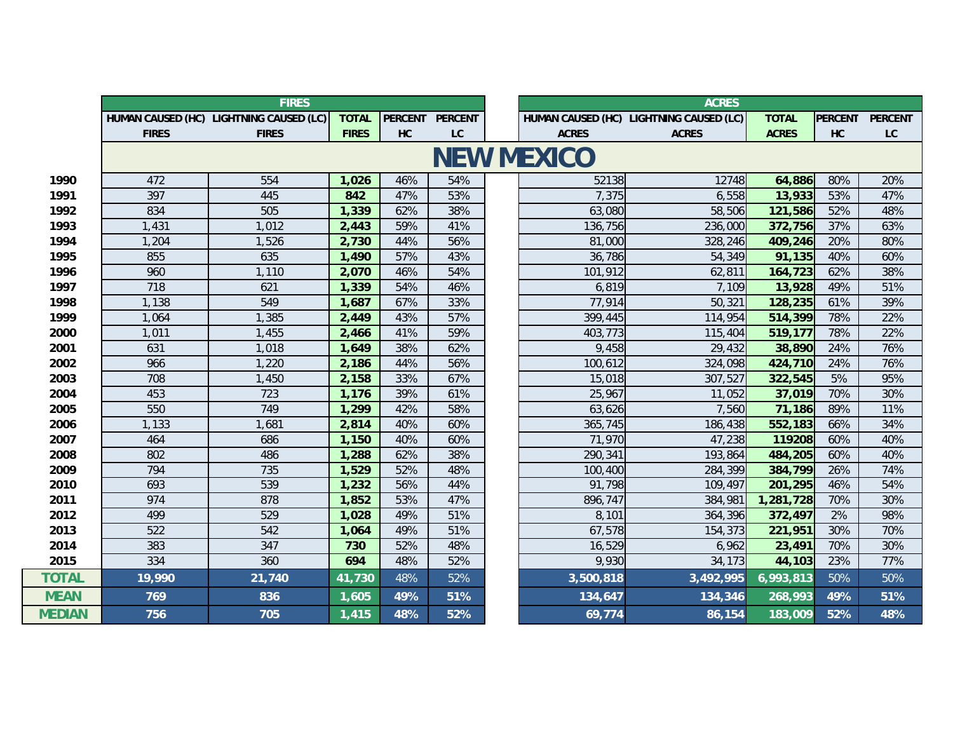|               | <b>FIRES</b> |                                         |              |                   |                | <b>ACRES</b> |              |                                         |              |                |                |
|---------------|--------------|-----------------------------------------|--------------|-------------------|----------------|--------------|--------------|-----------------------------------------|--------------|----------------|----------------|
|               |              | HUMAN CAUSED (HC) LIGHTNING CAUSED (LC) | <b>TOTAL</b> | <b>PERCENT</b>    | <b>PERCENT</b> |              |              | HUMAN CAUSED (HC) LIGHTNING CAUSED (LC) | <b>TOTAL</b> | <b>PERCENT</b> | <b>PERCENT</b> |
|               | <b>FIRES</b> | <b>FIRES</b>                            | <b>FIRES</b> | HC                | LC             |              | <b>ACRES</b> | <b>ACRES</b>                            | <b>ACRES</b> | HC             | LC             |
|               |              |                                         |              | <b>NEW MEXICO</b> |                |              |              |                                         |              |                |                |
| 1990          | 472          | 554                                     | 1,026        | 46%               | 54%            |              | 52138        | 12748                                   | 64,886       | 80%            | 20%            |
| 1991          | 397          | 445                                     | 842          | 47%               | 53%            |              | 7,375        | 6,558                                   | 13,933       | 53%            | 47%            |
| 1992          | 834          | 505                                     | 1,339        | 62%               | 38%            |              | 63,080       | 58,506                                  | 121,586      | 52%            | 48%            |
| 1993          | 1,431        | 1,012                                   | 2,443        | 59%               | 41%            |              | 136,756      | 236,000                                 | 372,756      | 37%            | 63%            |
| 1994          | 1,204        | 1,526                                   | 2,730        | 44%               | 56%            |              | 81,000       | 328,246                                 | 409,246      | 20%            | 80%            |
| 1995          | 855          | 635                                     | 1,490        | 57%               | 43%            |              | 36,786       | 54,349                                  | 91,135       | 40%            | 60%            |
| 1996          | 960          | 1,110                                   | 2,070        | 46%               | 54%            |              | 101,912      | 62,811                                  | 164,723      | 62%            | 38%            |
| 1997          | 718          | 621                                     | 1,339        | 54%               | 46%            |              | 6,819        | 7,109                                   | 13,928       | 49%            | 51%            |
| 1998          | 1,138        | 549                                     | 1,687        | 67%               | 33%            |              | 77,914       | 50,321                                  | 128,235      | 61%            | 39%            |
| 1999          | 1.064        | 1,385                                   | 2,449        | 43%               | 57%            |              | 399,445      | 114,954                                 | 514,399      | 78%            | 22%            |
| 2000          | 1,011        | 1,455                                   | 2,466        | 41%               | 59%            |              | 403,773      | 115,404                                 | 519,177      | 78%            | 22%            |
| 2001          | 631          | 1,018                                   | 1,649        | 38%               | 62%            |              | 9,458        | 29,432                                  | 38,890       | 24%            | 76%            |
| 2002          | 966          | 1,220                                   | 2,186        | 44%               | 56%            |              | 100,612      | 324,098                                 | 424,710      | 24%            | 76%            |
| 2003          | 708          | 1,450                                   | 2,158        | 33%               | 67%            |              | 15,018       | 307,527                                 | 322,545      | 5%             | 95%            |
| 2004          | 453          | 723                                     | 1,176        | 39%               | 61%            |              | 25,967       | 11,052                                  | 37,019       | 70%            | 30%            |
| 2005          | 550          | 749                                     | 1,299        | 42%               | 58%            |              | 63,626       | 7,560                                   | 71,186       | 89%            | 11%            |
| 2006          | 1,133        | 1,681                                   | 2,814        | 40%               | 60%            |              | 365,745      | 186,438                                 | 552,183      | 66%            | 34%            |
| 2007          | 464          | 686                                     | 1,150        | 40%               | 60%            |              | 71,970       | 47,238                                  | 119208       | 60%            | 40%            |
| 2008          | 802          | 486                                     | 1,288        | 62%               | 38%            |              | 290,341      | 193,864                                 | 484,205      | 60%            | 40%            |
| 2009          | 794          | 735                                     | 1,529        | 52%               | 48%            |              | 100,400      | 284,399                                 | 384,799      | 26%            | 74%            |
| 2010          | 693          | 539                                     | 1,232        | 56%               | 44%            |              | 91,798       | 109,497                                 | 201,295      | 46%            | 54%            |
| 2011          | 974          | 878                                     | 1,852        | 53%               | 47%            |              | 896,747      | 384,981                                 | 1,281,728    | 70%            | 30%            |
| 2012          | 499          | 529                                     | 1,028        | 49%               | 51%            |              | 8,101        | 364,396                                 | 372,497      | 2%             | 98%            |
| 2013          | 522          | 542                                     | 1,064        | 49%               | 51%            |              | 67,578       | 154,373                                 | 221,951      | 30%            | 70%            |
| 2014          | 383          | 347                                     | 730          | 52%               | 48%            |              | 16,529       | 6,962                                   | 23,491       | 70%            | 30%            |
| 2015          | 334          | 360                                     | 694          | 48%               | 52%            |              | 9,930        | 34,173                                  | 44,103       | 23%            | 77%            |
| <b>TOTAL</b>  | 19,990       | 21,740                                  | 41,730       | 48%               | 52%            |              | 3,500,818    | 3,492,995                               | 6,993,813    | 50%            | 50%            |
| <b>MEAN</b>   | 769          | 836                                     | 1,605        | 49%               | 51%            |              | 134,647      | 134,346                                 | 268,993      | 49%            | 51%            |
| <b>MEDIAN</b> | 756          | 705                                     | 1,415        | 48%               | 52%            |              | 69,774       | 86,154                                  | 183,009      | 52%            | 48%            |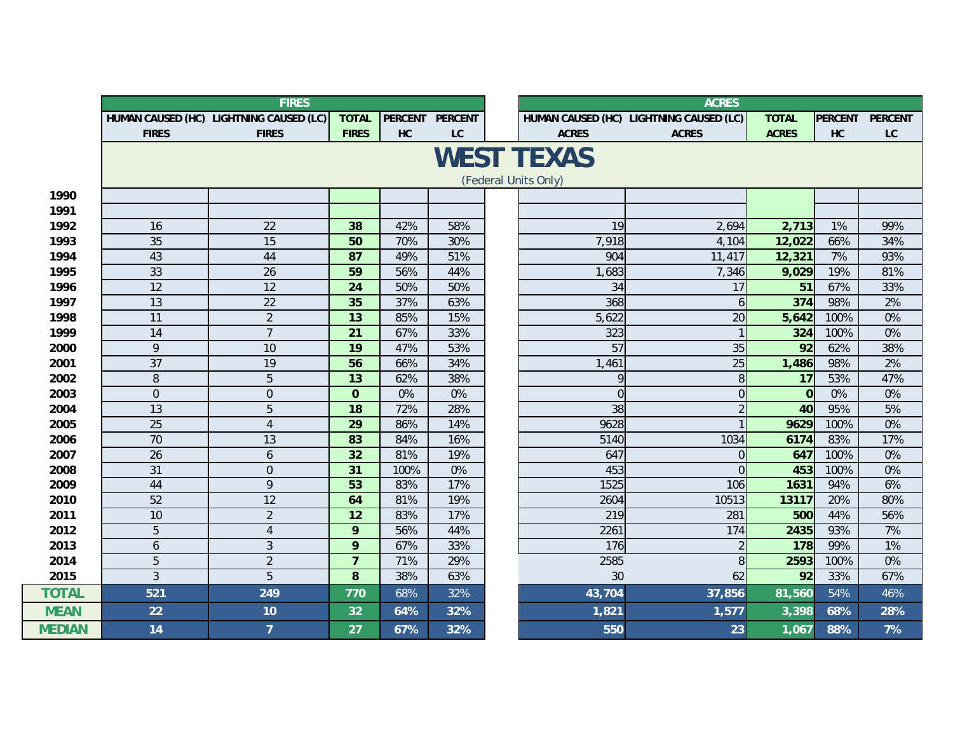|               |                | <b>FIRES</b>                            |                |      |                 |  | <b>ACRES</b>         |                                         |              |                |                  |
|---------------|----------------|-----------------------------------------|----------------|------|-----------------|--|----------------------|-----------------------------------------|--------------|----------------|------------------|
|               |                | HUMAN CAUSED (HC) LIGHTNING CAUSED (LC) | <b>TOTAL</b>   |      | PERCENT PERCENT |  |                      | HUMAN CAUSED (HC) LIGHTNING CAUSED (LC) | <b>TOTAL</b> | <b>PERCENT</b> | <b>PERCENT</b>   |
|               | <b>FIRES</b>   | <b>FIRES</b>                            | <b>FIRES</b>   | HC   | LC              |  | <b>ACRES</b>         | <b>ACRES</b>                            | <b>ACRES</b> | <b>HC</b>      | $_{\textrm{LC}}$ |
|               |                |                                         |                |      |                 |  | <b>WEST TEXAS</b>    |                                         |              |                |                  |
|               |                |                                         |                |      |                 |  |                      |                                         |              |                |                  |
|               |                |                                         |                |      |                 |  | (Federal Units Only) |                                         |              |                |                  |
| 1990          |                |                                         |                |      |                 |  |                      |                                         |              |                |                  |
| 1991          |                |                                         |                |      |                 |  |                      |                                         |              |                |                  |
| 1992          | 16             | 22                                      | 38             | 42%  | 58%             |  | 19                   | 2,694                                   | 2,713        | 1%             | 99%              |
| 1993          | 35             | 15                                      | 50             | 70%  | 30%             |  | 7,918                | 4,104                                   | 12,022       | 66%            | 34%              |
| 1994          | 43             | 44                                      | 87             | 49%  | 51%             |  | 904                  | 11,417                                  | 12,321       | 7%             | 93%              |
| 1995          | 33             | 26                                      | 59             | 56%  | 44%             |  | 1,683                | 7,346                                   | 9,029        | 19%            | 81%              |
| 1996          | 12             | 12                                      | 24             | 50%  | 50%             |  | 34                   | 17                                      | 51           | 67%            | 33%              |
| 1997          | 13             | 22                                      | 35             | 37%  | 63%             |  | 368                  | 6                                       | 374          | 98%            | 2%               |
| 1998          | 11             | $\overline{2}$                          | 13             | 85%  | 15%             |  | 5,622                | 20                                      | 5,642        | 100%           | 0%               |
| 1999          | 14             | $\overline{7}$                          | 21             | 67%  | 33%             |  | 323                  |                                         | 324          | 100%           | 0%               |
| 2000          | 9              | 10                                      | 19             | 47%  | 53%             |  | 57                   | 35                                      | 92           | 62%            | 38%              |
| 2001          | 37             | 19                                      | 56             | 66%  | 34%             |  | 1,461                | 25                                      | 1,486        | 98%            | 2%               |
| 2002          | 8              | 5                                       | 13             | 62%  | 38%             |  | 9                    | 8                                       | 17           | 53%            | 47%              |
| 2003          | $\mathbf 0$    | $\overline{0}$                          | $\mathbf 0$    | 0%   | 0%              |  | $\Omega$             | $\overline{0}$                          | $\Omega$     | 0%             | 0%               |
| 2004          | 13             | 5                                       | 18             | 72%  | 28%             |  | 38                   | $\overline{2}$                          | 40           | 95%            | 5%               |
| 2005          | 25             | $\overline{4}$                          | 29             | 86%  | 14%             |  | 9628                 |                                         | 9629         | 100%           | 0%               |
| 2006          | 70             | 13                                      | 83             | 84%  | 16%             |  | 5140                 | 1034                                    | 6174         | 83%            | 17%              |
| 2007          | 26             | 6                                       | 32             | 81%  | 19%             |  | 647                  | 0                                       | 647          | 100%           | 0%               |
| 2008          | 31             | $\overline{0}$                          | 31             | 100% | 0%              |  | 453                  | $\Omega$                                | 453          | 100%           | $0\%$            |
| 2009          | 44             | 9                                       | 53             | 83%  | 17%             |  | 1525                 | 106                                     | 1631         | 94%            | 6%               |
| 2010          | 52             | 12                                      | 64             | 81%  | 19%             |  | 2604                 | 10513                                   | 13117        | 20%            | 80%              |
| 2011          | 10             | $\overline{2}$                          | 12             | 83%  | 17%             |  | 219                  | 281                                     | 500          | 44%            | 56%              |
| 2012          | 5              | $\overline{4}$                          | 9              | 56%  | 44%             |  | 2261                 | 174                                     | 2435         | 93%            | 7%               |
| 2013          | 6              | 3                                       | 9              | 67%  | 33%             |  | 176                  | $\overline{2}$                          | 178          | 99%            | 1%               |
| 2014          | $\overline{5}$ | $\overline{2}$                          | $\overline{7}$ | 71%  | 29%             |  | 2585                 | 8                                       | 2593         | 100%           | 0%               |
| 2015          | $\overline{3}$ | 5                                       | 8              | 38%  | 63%             |  | 30                   | 62                                      | 92           | 33%            | 67%              |
| <b>TOTAL</b>  | 521            | 249                                     | 770            | 68%  | 32%             |  | 43,704               | 37,856                                  | 81,560       | 54%            | 46%              |
| <b>MEAN</b>   | 22             | 10                                      | 32             | 64%  | 32%             |  | 1,821                | 1,577                                   | 3,398        | 68%            | 28%              |
| <b>MEDIAN</b> | 14             | $\overline{7}$                          | 27             | 67%  | 32%             |  | 550                  | 23                                      | 1,067        | 88%            | 7%               |